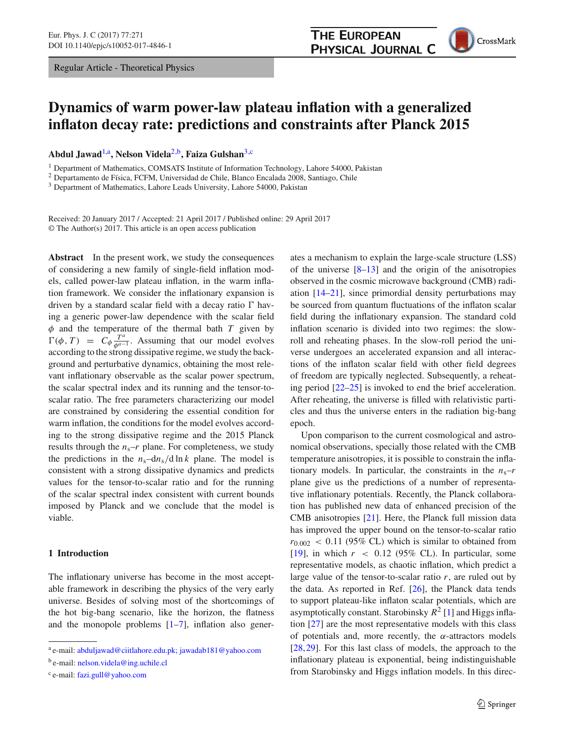Regular Article - Theoretical Physics

# **THE EUROPEAN PHYSICAL JOURNAL C**



# **Dynamics of warm power-law plateau inflation with a generalized inflaton decay rate: predictions and constraints after Planck 2015**

**Abdul Jawad**[1,](#page-0-0)a**, Nelson Videla**[2,](#page-0-0)b**, Faiza Gulshan**[3,](#page-0-1)c

<sup>1</sup> Department of Mathematics, COMSATS Institute of Information Technology, Lahore 54000, Pakistan

<sup>2</sup> Departamento de Física, FCFM, Universidad de Chile, Blanco Encalada 2008, Santiago, Chile

<sup>3</sup> Department of Mathematics, Lahore Leads University, Lahore 54000, Pakistan

Received: 20 January 2017 / Accepted: 21 April 2017 / Published online: 29 April 2017 © The Author(s) 2017. This article is an open access publication

**Abstract** In the present work, we study the consequences of considering a new family of single-field inflation models, called power-law plateau inflation, in the warm inflation framework. We consider the inflationary expansion is driven by a standard scalar field with a decay ratio  $\Gamma$  having a generic power-law dependence with the scalar field  $\phi$  and the temperature of the thermal bath *T* given by  $\Gamma(\phi, T) = C_{\phi} \frac{T^a}{\phi^{a-1}}$ . Assuming that our model evolves according to the strong dissipative regime, we study the background and perturbative dynamics, obtaining the most relevant inflationary observable as the scalar power spectrum, the scalar spectral index and its running and the tensor-toscalar ratio. The free parameters characterizing our model are constrained by considering the essential condition for warm inflation, the conditions for the model evolves according to the strong dissipative regime and the 2015 Planck results through the  $n_s-r$  plane. For completeness, we study the predictions in the  $n_s$ –d $n_s$ /d ln *k* plane. The model is consistent with a strong dissipative dynamics and predicts values for the tensor-to-scalar ratio and for the running of the scalar spectral index consistent with current bounds imposed by Planck and we conclude that the model is viable.

#### **1 Introduction**

The inflationary universe has become in the most acceptable framework in describing the physics of the very early universe. Besides of solving most of the shortcomings of the hot big-bang scenario, like the horizon, the flatness and the monopole problems  $[1-7]$  $[1-7]$ , inflation also gener-

<sup>b</sup> e-mail: [nelson.videla@ing.uchile.cl](mailto:nelson.videla@ing.uchile.cl)

<span id="page-0-1"></span><span id="page-0-0"></span>ates a mechanism to explain the large-scale structure (LSS) of the universe  $[8-13]$  $[8-13]$  and the origin of the anisotropies observed in the cosmic microwave background (CMB) radiation [\[14](#page-10-4)[–21](#page-10-5)], since primordial density perturbations may be sourced from quantum fluctuations of the inflaton scalar field during the inflationary expansion. The standard cold inflation scenario is divided into two regimes: the slowroll and reheating phases. In the slow-roll period the universe undergoes an accelerated expansion and all interactions of the inflaton scalar field with other field degrees of freedom are typically neglected. Subsequently, a reheating period [\[22](#page-10-6)[–25](#page-10-7)] is invoked to end the brief acceleration. After reheating, the universe is filled with relativistic particles and thus the universe enters in the radiation big-bang epoch.

Upon comparison to the current cosmological and astronomical observations, specially those related with the CMB temperature anisotropies, it is possible to constrain the inflationary models. In particular, the constraints in the  $n_s-r$ plane give us the predictions of a number of representative inflationary potentials. Recently, the Planck collaboration has published new data of enhanced precision of the CMB anisotropies [\[21](#page-10-5)]. Here, the Planck full mission data has improved the upper bound on the tensor-to-scalar ratio  $r_{0.002}$  < 0.11 (95% CL) which is similar to obtained from [\[19](#page-10-8)], in which  $r \approx 0.12$  (95% CL). In particular, some representative models, as chaotic inflation, which predict a large value of the tensor-to-scalar ratio *r*, are ruled out by the data. As reported in Ref. [\[26\]](#page-10-9), the Planck data tends to support plateau-like inflaton scalar potentials, which are asymptotically constant. Starobinsky  $R^2$  [\[1\]](#page-10-0) and Higgs inflation [\[27\]](#page-10-10) are the most representative models with this class of potentials and, more recently, the  $\alpha$ -attractors models [\[28](#page-10-11),[29\]](#page-10-12). For this last class of models, the approach to the inflationary plateau is exponential, being indistinguishable from Starobinsky and Higgs inflation models. In this direc-

<sup>a</sup> e-mail: [abduljawad@ciitlahore.edu.pk; jawadab181@yahoo.com](mailto:abduljawad@ciitlahore.edu.pk{;} jawadab181@yahoo.com)

<sup>c</sup> e-mail: [fazi.gull@yahoo.com](mailto:fazi.gull@yahoo.com)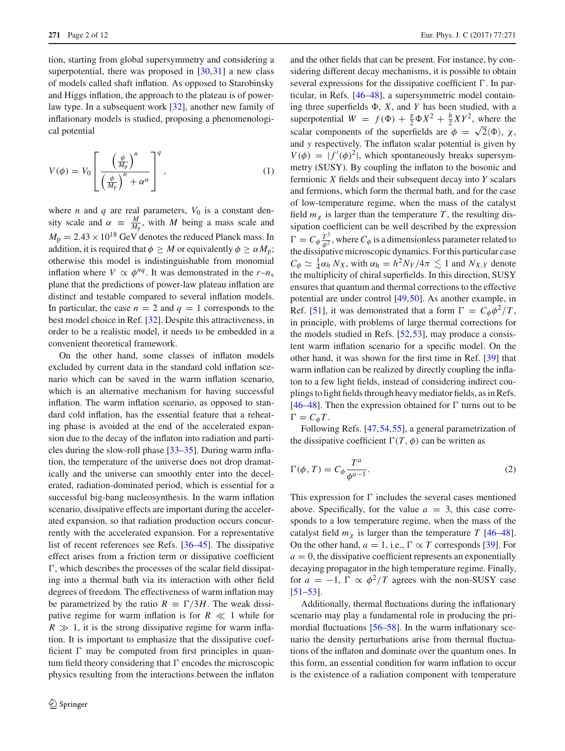tion, starting from global supersymmetry and considering a superpotential, there was proposed in [\[30](#page-10-13),[31\]](#page-10-14) a new class of models called shaft inflation. As opposed to Starobinsky and Higgs inflation, the approach to the plateau is of powerlaw type. In a subsequent work [\[32\]](#page-10-15), another new family of inflationary models is studied, proposing a phenomenological potential

<span id="page-1-1"></span>
$$
V(\phi) = V_0 \left[ \frac{\left(\frac{\phi}{M_{\rm p}}\right)^n}{\left(\frac{\phi}{M_{\rm p}}\right)^n + \alpha^n} \right]^q, \tag{1}
$$

where *n* and *q* are real parameters,  $V_0$  is a constant density scale and  $\alpha \equiv \frac{M}{M_p}$ , with *M* being a mass scale and  $M_{\rm p} = 2.43 \times 10^{18}$  GeV denotes the reduced Planck mass. In addition, it is required that  $\phi \geq M$  or equivalently  $\phi \geq \alpha M_p$ ; otherwise this model is indistinguishable from monomial inflation where  $V \propto \phi^{nq}$ . It was demonstrated in the  $r - n_s$ plane that the predictions of power-law plateau inflation are distinct and testable compared to several inflation models. In particular, the case  $n = 2$  and  $q = 1$  corresponds to the best model choice in Ref. [\[32](#page-10-15)]. Despite this attractiveness, in order to be a realistic model, it needs to be embedded in a convenient theoretical framework.

On the other hand, some classes of inflaton models excluded by current data in the standard cold inflation scenario which can be saved in the warm inflation scenario, which is an alternative mechanism for having successful inflation. The warm inflation scenario, as opposed to standard cold inflation, has the essential feature that a reheating phase is avoided at the end of the accelerated expansion due to the decay of the inflaton into radiation and particles during the slow-roll phase [\[33](#page-10-16)[–35\]](#page-10-17). During warm inflation, the temperature of the universe does not drop dramatically and the universe can smoothly enter into the decelerated, radiation-dominated period, which is essential for a successful big-bang nucleosynthesis. In the warm inflation scenario, dissipative effects are important during the accelerated expansion, so that radiation production occurs concurrently with the accelerated expansion. For a representative list of recent references see Refs. [\[36](#page-10-18)[–45\]](#page-11-0). The dissipative effect arises from a friction term or dissipative coefficient  $\Gamma$ , which describes the processes of the scalar field dissipating into a thermal bath via its interaction with other field degrees of freedom. The effectiveness of warm inflation may be parametrized by the ratio  $R \equiv \Gamma/3H$ . The weak dissipative regime for warm inflation is for  $R \ll 1$  while for  $R \gg 1$ , it is the strong dissipative regime for warm inflation. It is important to emphasize that the dissipative coefficient  $\Gamma$  may be computed from first principles in quantum field theory considering that  $\Gamma$  encodes the microscopic physics resulting from the interactions between the inflaton and the other fields that can be present. For instance, by considering different decay mechanisms, it is possible to obtain several expressions for the dissipative coefficient  $\Gamma$ . In particular, in Refs. [\[46](#page-11-1)[–48](#page-11-2)], a supersymmetric model containing three superfields  $\Phi$ , *X*, and *Y* has been studied, with a superpotential  $W = f(\Phi) + \frac{g}{2}\Phi X^2 + \frac{h}{2}XY^2$ , where the scalar components of the superfields are  $\phi = \sqrt{2} \langle \Phi \rangle$ ,  $\chi$ . and *y* respectively. The inflaton scalar potential is given by  $V(\phi) = |f'(\phi)^2|$ , which spontaneously breaks supersymmetry (SUSY). By coupling the inflaton to the bosonic and fermionic *X* fields and their subsequent decay into *Y* scalars and fermions, which form the thermal bath, and for the case of low-temperature regime, when the mass of the catalyst field  $m<sub>x</sub>$  is larger than the temperature *T*, the resulting dissipation coefficient can be well described by the expression  $\Gamma = C_{\phi} \frac{T^3}{\phi^2}$ , where  $C_{\phi}$  is a dimensionless parameter related to the dissipative microscopic dynamics. For this particular case  $C_{\phi} \simeq \frac{1}{4} \alpha_h N_X$ , with  $\alpha_h = h^2 N_Y / 4\pi \lesssim 1$  and  $N_{X,Y}$  denote the multiplicity of chiral superfields. In this direction, SUSY ensures that quantum and thermal corrections to the effective potential are under control [\[49](#page-11-3)[,50](#page-11-4)]. As another example, in Ref. [\[51\]](#page-11-5), it was demonstrated that a form  $\Gamma = C_{\phi} \phi^2 / T$ , in principle, with problems of large thermal corrections for the models studied in Refs. [\[52](#page-11-6)[,53](#page-11-7)], may produce a consistent warm inflation scenario for a specific model. On the other hand, it was shown for the first time in Ref. [\[39](#page-10-19)] that warm inflation can be realized by directly coupling the inflaton to a few light fields, instead of considering indirect couplings to light fields through heavy mediator fields, as in Refs. [\[46](#page-11-1)[–48](#page-11-2)]. Then the expression obtained for  $\Gamma$  turns out to be  $\Gamma = C_{\phi} T$ .

<span id="page-1-0"></span>Following Refs. [\[47](#page-11-8)[,54](#page-11-9),[55\]](#page-11-10), a general parametrization of the dissipative coefficient  $\Gamma(T, \phi)$  can be written as

$$
\Gamma(\phi, T) = C_{\phi} \frac{T^a}{\phi^{a-1}}.
$$
\n(2)

This expression for  $\Gamma$  includes the several cases mentioned above. Specifically, for the value  $a = 3$ , this case corresponds to a low temperature regime, when the mass of the catalyst field  $m<sub>x</sub>$  is larger than the temperature *T* [\[46](#page-11-1)[–48](#page-11-2)]. On the other hand,  $a = 1$ , i.e.,  $\Gamma \propto T$  corresponds [\[39](#page-10-19)]. For  $a = 0$ , the dissipative coefficient represents an exponentially decaying propagator in the high temperature regime. Finally, for  $a = -1$ ,  $\Gamma \propto \phi^2/T$  agrees with the non-SUSY case [\[51](#page-11-5)[–53](#page-11-7)].

Additionally, thermal fluctuations during the inflationary scenario may play a fundamental role in producing the pri-mordial fluctuations [\[56](#page-11-11)[–58](#page-11-12)]. In the warm inflationary scenario the density perturbations arise from thermal fluctuations of the inflaton and dominate over the quantum ones. In this form, an essential condition for warm inflation to occur is the existence of a radiation component with temperature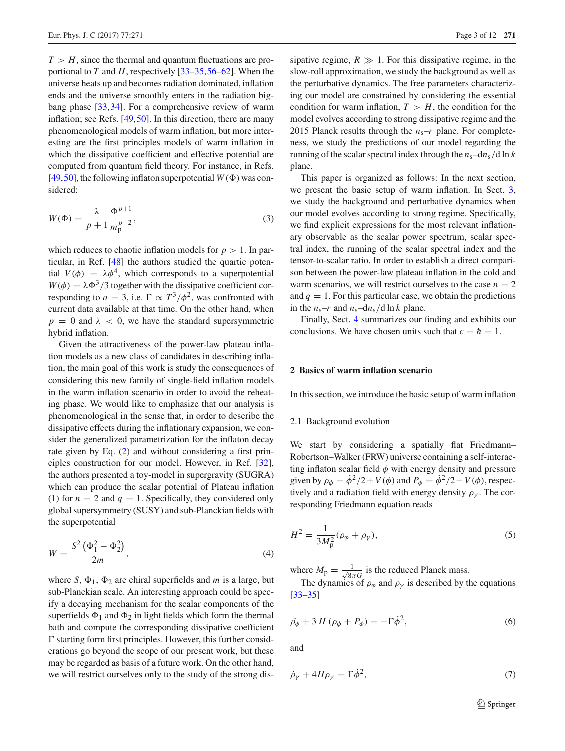$T > H$ , since the thermal and quantum fluctuations are proportional to *T* and *H*, respectively [\[33](#page-10-16)[–35](#page-10-17),[56](#page-11-11)[–62\]](#page-11-13). When the universe heats up and becomes radiation dominated, inflation ends and the universe smoothly enters in the radiation bigbang phase [\[33](#page-10-16),[34\]](#page-10-20). For a comprehensive review of warm inflation; see Refs. [\[49](#page-11-3)[,50](#page-11-4)]. In this direction, there are many phenomenological models of warm inflation, but more interesting are the first principles models of warm inflation in which the dissipative coefficient and effective potential are computed from quantum field theory. For instance, in Refs. [\[49](#page-11-3),[50\]](#page-11-4), the following inflaton superpotential  $W(\Phi)$  was considered:

$$
W(\Phi) = \frac{\lambda}{p+1} \frac{\Phi^{p+1}}{m_p^{p-2}},\tag{3}
$$

which reduces to chaotic inflation models for  $p > 1$ . In particular, in Ref. [\[48\]](#page-11-2) the authors studied the quartic potential  $V(\phi) = \lambda \phi^4$ , which corresponds to a superpotential  $W(\phi) = \lambda \Phi^3/3$  together with the dissipative coefficient corresponding to  $a = 3$ , i.e.  $\Gamma \propto T^3/\phi^2$ , was confronted with current data available at that time. On the other hand, when  $p = 0$  and  $\lambda < 0$ , we have the standard supersymmetric hybrid inflation.

Given the attractiveness of the power-law plateau inflation models as a new class of candidates in describing inflation, the main goal of this work is study the consequences of considering this new family of single-field inflation models in the warm inflation scenario in order to avoid the reheating phase. We would like to emphasize that our analysis is phenomenological in the sense that, in order to describe the dissipative effects during the inflationary expansion, we consider the generalized parametrization for the inflaton decay rate given by Eq. [\(2\)](#page-1-0) and without considering a first principles construction for our model. However, in Ref. [\[32](#page-10-15)], the authors presented a toy-model in supergravity (SUGRA) which can produce the scalar potential of Plateau inflation [\(1\)](#page-1-1) for  $n = 2$  and  $q = 1$ . Specifically, they considered only global supersymmetry (SUSY) and sub-Planckian fields with the superpotential

$$
W = \frac{S^2 \left(\Phi_1^2 - \Phi_2^2\right)}{2m},\tag{4}
$$

where *S*,  $\Phi_1$ ,  $\Phi_2$  are chiral superfields and *m* is a large, but sub-Planckian scale. An interesting approach could be specify a decaying mechanism for the scalar components of the superfields  $\Phi_1$  and  $\Phi_2$  in light fields which form the thermal bath and compute the corresponding dissipative coefficient  $\Gamma$  starting form first principles. However, this further considerations go beyond the scope of our present work, but these may be regarded as basis of a future work. On the other hand, we will restrict ourselves only to the study of the strong dissipative regime,  $R \gg 1$ . For this dissipative regime, in the slow-roll approximation, we study the background as well as the perturbative dynamics. The free parameters characterizing our model are constrained by considering the essential condition for warm inflation,  $T > H$ , the condition for the model evolves according to strong dissipative regime and the 2015 Planck results through the  $n_s-r$  plane. For completeness, we study the predictions of our model regarding the running of the scalar spectral index through the  $n_s$ –d $n_s$ /d ln *k* plane.

This paper is organized as follows: In the next section, we present the basic setup of warm inflation. In Sect. [3,](#page-4-0) we study the background and perturbative dynamics when our model evolves according to strong regime. Specifically, we find explicit expressions for the most relevant inflationary observable as the scalar power spectrum, scalar spectral index, the running of the scalar spectral index and the tensor-to-scalar ratio. In order to establish a direct comparison between the power-law plateau inflation in the cold and warm scenarios, we will restrict ourselves to the case  $n = 2$ and  $q = 1$ . For this particular case, we obtain the predictions in the  $n_s-r$  and  $n_s-dn_s/d \ln k$  plane.

Finally, Sect. [4](#page-9-0) summarizes our finding and exhibits our conclusions. We have chosen units such that  $c = \hbar = 1$ .

#### **2 Basics of warm inflation scenario**

In this section, we introduce the basic setup of warm inflation

#### 2.1 Background evolution

We start by considering a spatially flat Friedmann– Robertson–Walker (FRW) universe containing a self-interacting inflaton scalar field  $\phi$  with energy density and pressure given by  $\rho_{\phi} = \dot{\phi}^2/2 + V(\phi)$  and  $P_{\phi} = \dot{\phi}^2/2 - V(\phi)$ , respectively and a radiation field with energy density  $\rho_{\gamma}$ . The corresponding Friedmann equation reads

<span id="page-2-0"></span>
$$
H^{2} = \frac{1}{3M_{p}^{2}}(\rho_{\phi} + \rho_{\gamma}),
$$
\n(5)

where  $M_{\rm p} = \frac{1}{\sqrt{8n}}$  $\frac{1}{8\pi G}$  is the reduced Planck mass.

The dynamics of  $\rho_{\phi}$  and  $\rho_{\gamma}$  is described by the equations [\[33](#page-10-16)[–35](#page-10-17)]

$$
\dot{\rho_{\phi}} + 3H(\rho_{\phi} + P_{\phi}) = -\Gamma \dot{\phi}^2, \qquad (6)
$$

and

$$
\dot{\rho}_{\gamma} + 4H\rho_{\gamma} = \Gamma \dot{\phi}^{2},\tag{7}
$$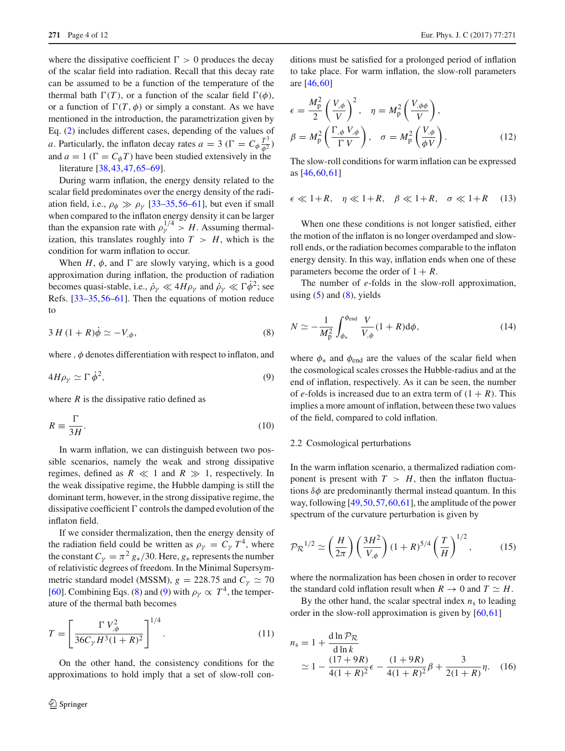where the dissipative coefficient  $\Gamma > 0$  produces the decay of the scalar field into radiation. Recall that this decay rate can be assumed to be a function of the temperature of the thermal bath  $\Gamma(T)$ , or a function of the scalar field  $\Gamma(\phi)$ , or a function of  $\Gamma(T, \phi)$  or simply a constant. As we have mentioned in the introduction, the parametrization given by Eq. [\(2\)](#page-1-0) includes different cases, depending of the values of *a*. Particularly, the inflaton decay rates  $a = 3$  ( $\Gamma = C_{\phi} \frac{T^3}{\phi^2}$ ) and  $a = 1$  ( $\Gamma = C_{\phi}T$ ) have been studied extensively in the literature [\[38](#page-10-21)[,43](#page-11-14),[47,](#page-11-8)[65](#page-11-15)[–69\]](#page-11-16).

During warm inflation, the energy density related to the scalar field predominates over the energy density of the radiation field, i.e.,  $\rho_{\phi} \gg \rho_{\gamma}$  [\[33](#page-10-16)[–35,](#page-10-17)[56](#page-11-11)[–61\]](#page-11-17), but even if small when compared to the inflaton energy density it can be larger than the expansion rate with  $\rho_Y^{1/4} > H$ . Assuming thermalization, this translates roughly into  $T > H$ , which is the condition for warm inflation to occur.

When  $H$ ,  $\phi$ , and  $\Gamma$  are slowly varying, which is a good approximation during inflation, the production of radiation becomes quasi-stable, i.e.,  $\dot{\rho}_{\gamma} \ll 4H\rho_{\gamma}$  and  $\dot{\rho}_{\gamma} \ll \Gamma \dot{\phi}^2$ ; see Refs. [\[33](#page-10-16)[–35](#page-10-17)[,56](#page-11-11)[–61](#page-11-17)]. Then the equations of motion reduce to

<span id="page-3-0"></span>
$$
3 H (1 + R)\dot{\phi} \simeq -V_{,\phi},\tag{8}
$$

where,  $\phi$  denotes differentiation with respect to inflaton, and

$$
4H\rho_{\gamma} \simeq \Gamma \dot{\phi}^2, \tag{9}
$$

where  $R$  is the dissipative ratio defined as

$$
R \equiv \frac{\Gamma}{3H}.\tag{10}
$$

In warm inflation, we can distinguish between two possible scenarios, namely the weak and strong dissipative regimes, defined as  $R \ll 1$  and  $R \gg 1$ , respectively. In the weak dissipative regime, the Hubble damping is still the dominant term, however, in the strong dissipative regime, the dissipative coefficient  $\Gamma$  controls the damped evolution of the inflaton field.

If we consider thermalization, then the energy density of the radiation field could be written as  $\rho_{\gamma} = C_{\gamma} T^4$ , where the constant  $C_{\gamma} = \pi^2 g_*/30$ . Here,  $g_*$  represents the number of relativistic degrees of freedom. In the Minimal Supersymmetric standard model (MSSM),  $g = 228.75$  and  $C<sub>\gamma</sub> \simeq 70$ [\[60](#page-11-18)]. Combining Eqs. [\(8\)](#page-3-0) and [\(9\)](#page-3-1) with  $\rho_{\gamma} \propto T^4$ , the temperature of the thermal bath becomes

$$
T = \left[\frac{\Gamma V_{,\phi}^2}{36C_{\gamma}H^3(1+R)^2}\right]^{1/4}.
$$
 (11)

On the other hand, the consistency conditions for the approximations to hold imply that a set of slow-roll conditions must be satisfied for a prolonged period of inflation to take place. For warm inflation, the slow-roll parameters are [\[46](#page-11-1)[,60](#page-11-18)]

$$
\epsilon = \frac{M_{\rm p}^2}{2} \left( \frac{V_{,\phi}}{V} \right)^2, \quad \eta = M_{\rm p}^2 \left( \frac{V_{,\phi\phi}}{V} \right),
$$

$$
\beta = M_{\rm p}^2 \left( \frac{\Gamma_{,\phi} V_{,\phi}}{\Gamma V} \right), \quad \sigma = M_{\rm p}^2 \left( \frac{V_{,\phi}}{\phi V} \right).
$$
(12)

<span id="page-3-3"></span>The slow-roll conditions for warm inflation can be expressed as [\[46](#page-11-1)[,60](#page-11-18),[61\]](#page-11-17)

$$
\epsilon \ll 1 + R, \quad \eta \ll 1 + R, \quad \beta \ll 1 + R, \quad \sigma \ll 1 + R \quad (13)
$$

When one these conditions is not longer satisfied, either the motion of the inflaton is no longer overdamped and slowroll ends, or the radiation becomes comparable to the inflaton energy density. In this way, inflation ends when one of these parameters become the order of  $1 + R$ .

<span id="page-3-4"></span>The number of *e*-folds in the slow-roll approximation, using  $(5)$  and  $(8)$ , yields

$$
N \simeq -\frac{1}{M_{\rm p}^2} \int_{\phi_*}^{\phi_{\rm end}} \frac{V}{V_{,\phi}} (1+R) \mathrm{d}\phi,\tag{14}
$$

<span id="page-3-1"></span>where  $\phi_*$  and  $\phi_{end}$  are the values of the scalar field when the cosmological scales crosses the Hubble-radius and at the end of inflation, respectively. As it can be seen, the number of *e*-folds is increased due to an extra term of  $(1 + R)$ . This implies a more amount of inflation, between these two values of the field, compared to cold inflation.

#### 2.2 Cosmological perturbations

In the warm inflation scenario, a thermalized radiation component is present with  $T > H$ , then the inflaton fluctuations  $\delta\phi$  are predominantly thermal instead quantum. In this way, following [\[49,](#page-11-3)[50](#page-11-4)[,57](#page-11-19)[,60](#page-11-18),[61\]](#page-11-17), the amplitude of the power spectrum of the curvature perturbation is given by

$$
\mathcal{P}_{\mathcal{R}}^{1/2} \simeq \left(\frac{H}{2\pi}\right) \left(\frac{3H^2}{V_{,\phi}}\right) (1+R)^{5/4} \left(\frac{T}{H}\right)^{1/2},\tag{15}
$$

where the normalization has been chosen in order to recover the standard cold inflation result when  $R \to 0$  and  $T \simeq H$ .

<span id="page-3-2"></span>By the other hand, the scalar spectral index  $n<sub>s</sub>$  to leading order in the slow-roll approximation is given by [\[60](#page-11-18),[61\]](#page-11-17)

$$
n_s = 1 + \frac{d \ln \mathcal{P}_{\mathcal{R}}}{d \ln k} \approx 1 - \frac{(17 + 9R)}{4(1 + R)^2} \epsilon - \frac{(1 + 9R)}{4(1 + R)^2} \beta + \frac{3}{2(1 + R)} \eta. \quad (16)
$$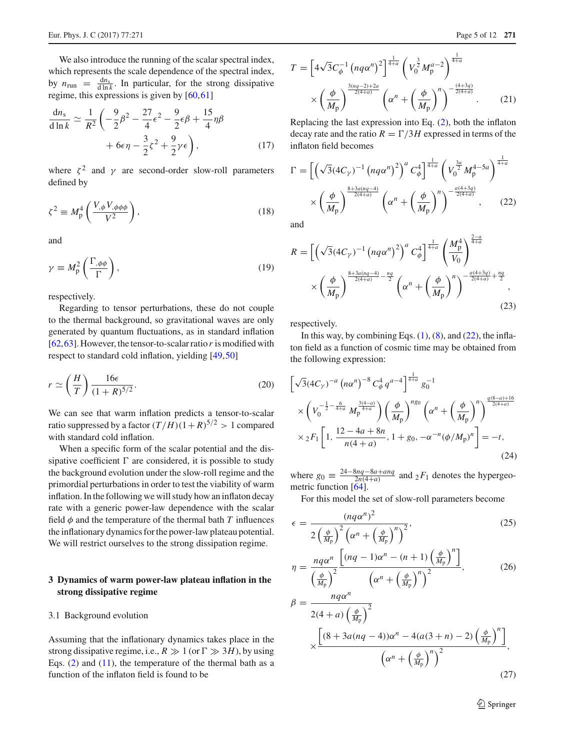We also introduce the running of the scalar spectral index, which represents the scale dependence of the spectral index, by  $n_{\text{run}} = \frac{dn_s}{d \ln k}$ . In particular, for the strong dissipative regime, this expressions is given by [\[60](#page-11-18),[61\]](#page-11-17)

<span id="page-4-5"></span>
$$
\frac{dn_s}{d \ln k} \simeq \frac{1}{R^2} \left( -\frac{9}{2} \beta^2 - \frac{27}{4} \epsilon^2 - \frac{9}{2} \epsilon \beta + \frac{15}{4} \eta \beta + 6 \epsilon \eta - \frac{3}{2} \zeta^2 + \frac{9}{2} \gamma \epsilon \right),\tag{17}
$$

where  $\zeta^2$  and  $\gamma$  are second-order slow-roll parameters defined by

$$
\zeta^2 \equiv M_p^4 \left( \frac{V_{,\phi} V_{,\phi \phi \phi}}{V^2} \right),\tag{18}
$$

and

$$
\gamma \equiv M_p^2 \left( \frac{\Gamma_{,\phi\phi}}{\Gamma} \right),\tag{19}
$$

respectively.

Regarding to tensor perturbations, these do not couple to the thermal background, so gravitational waves are only generated by quantum fluctuations, as in standard inflation [\[62](#page-11-13),[63\]](#page-11-20). However, the tensor-to-scalar ratio*r* is modified with respect to standard cold inflation, yielding [\[49](#page-11-3),[50\]](#page-11-4)

$$
r \simeq \left(\frac{H}{T}\right) \frac{16\epsilon}{(1+R)^{5/2}}.\tag{20}
$$

We can see that warm inflation predicts a tensor-to-scalar ratio suppressed by a factor  $(T/H)(1+R)^{5/2} > 1$  compared with standard cold inflation.

When a specific form of the scalar potential and the dissipative coefficient  $\Gamma$  are considered, it is possible to study the background evolution under the slow-roll regime and the primordial perturbations in order to test the viability of warm inflation. In the following we will study how an inflaton decay rate with a generic power-law dependence with the scalar field  $\phi$  and the temperature of the thermal bath *T* influences the inflationary dynamics for the power-law plateau potential. We will restrict ourselves to the strong dissipation regime.

# <span id="page-4-0"></span>**3 Dynamics of warm power-law plateau inflation in the strong dissipative regime**

# 3.1 Background evolution

Assuming that the inflationary dynamics takes place in the strong dissipative regime, i.e.,  $R \gg 1$  (or  $\Gamma \gg 3H$ ), by using Eqs.  $(2)$  and  $(11)$ , the temperature of the thermal bath as a function of the inflaton field is found to be

<span id="page-4-3"></span>
$$
T = \left[4\sqrt{3}C_{\phi}^{-1} \left(nq\alpha^{n}\right)^{2}\right]^{\frac{1}{4+a}} \left(V_{0}^{\frac{3}{2}}M_{p}^{a-2}\right)^{\frac{1}{4+a}}
$$

×  $\int$   $\phi$ *M*<sup>p</sup>  $\int_{0}^{\frac{3(nq-2)+2a}{2(4+a)}} \left(\alpha^n + \left(\frac{\phi}{M}\right)\right)$ *M*<sup>p</sup>  $\binom{n}{2}$ <sup>- $\frac{(4+3q)}{2(4+a)}$ </sup>  $(21)$ 

Replacing the last expression into Eq. [\(2\)](#page-1-0), both the inflaton decay rate and the ratio  $R = \Gamma/3H$  expressed in terms of the inflaton field becomes

<span id="page-4-1"></span>
$$
\Gamma = \left[ \left( \sqrt{3} (4C_{\gamma})^{-1} \left( n q \alpha^{n} \right)^{2} \right)^{a} C_{\phi}^{4} \right]^{\frac{1}{4+a}} \left( V_{0}^{\frac{3a}{2}} M_{\text{p}}^{4-5a} \right)^{\frac{1}{4+a}} \\ \times \left( \frac{\phi}{M_{\text{p}}} \right)^{\frac{8+3a(nq-4)}{2(4+a)}} \left( \alpha^{n} + \left( \frac{\phi}{M_{\text{p}}} \right)^{n} \right)^{-\frac{a(4+3q)}{2(4+a)}}, \quad (22)
$$

and

<span id="page-4-2"></span>
$$
R = \left[ \left( \sqrt{3} (4C_{\gamma})^{-1} \left( n q \alpha^{n} \right)^{2} \right)^{a} C_{\phi}^{4} \right]^{\frac{1}{4+a}} \left( \frac{M_{p}^{4}}{V_{0}} \right)^{\frac{2-a}{4+a}} \times \left( \frac{\phi}{M_{p}} \right)^{\frac{8+3a(nq-4)}{2(4+a)} - \frac{nq}{2}} \times \left( \alpha^{n} + \left( \frac{\phi}{M_{p}} \right)^{n} \right)^{-\frac{a(4+3q)}{2(4+a)} + \frac{nq}{2}}, \tag{23}
$$

respectively.

In this way, by combining Eqs.  $(1)$ ,  $(8)$ , and  $(22)$ , the inflaton field as a function of cosmic time may be obtained from the following expression:

$$
\[\sqrt{3}(4C_{\gamma})^{-a} (n\alpha^{n})^{-8} C_{\phi}^{4} q^{a-4}\]^{\frac{1}{4+a}} g_{0}^{-1}\n\times \left(V_{0}^{-\frac{1}{2}-\frac{6}{4+a}} M_{\text{p}}^{\frac{3(4-a)}{4+a}}\right) \left(\frac{\phi}{M_{\text{p}}}\right)^{n g_{0}} \left(\alpha^{n} + \left(\frac{\phi}{M_{\text{p}}}\right)^{n}\right)^{\frac{q(8-a)+16}{2(4+a)}}\n\times {}_{2}F_{1}\left[1, \frac{12-4a+8n}{n(4+a)}, 1+g_{0}, -\alpha^{-n}(\phi/M_{\text{p}})^{n}\right] = -t,\n\tag{24}
$$

where  $g_0 \equiv \frac{24-8nq-8a+anq}{2n(4+a)}$  and  $_2F_1$  denotes the hypergeometric function [\[64](#page-11-21)].

For this model the set of slow-roll parameters become

<span id="page-4-4"></span>
$$
\epsilon = \frac{(nq\alpha^n)^2}{2\left(\frac{\phi}{M_p}\right)^2 \left(\alpha^n + \left(\frac{\phi}{M_p}\right)^n\right)^2},\tag{25}
$$
\n
$$
\eta = \frac{nq\alpha^n}{\left(\frac{\phi}{M_p}\right)^2} \frac{\left[(nq-1)\alpha^n - (n+1)\left(\frac{\phi}{M_p}\right)^n\right]}{\left(\alpha^n + \left(\frac{\phi}{M_p}\right)^n\right)^2},\tag{26}
$$

$$
\beta = \frac{nq\alpha^n}{2(4+a)\left(\frac{\phi}{M_p}\right)^2}
$$

$$
\times \frac{\left[ (8+3a(nq-4))\alpha^n - 4(a(3+n)-2)\left(\frac{\phi}{M_p}\right)^n \right]}{\left(\alpha^n + \left(\frac{\phi}{M_p}\right)^n\right)^2},
$$
(27)

<sup>2</sup> Springer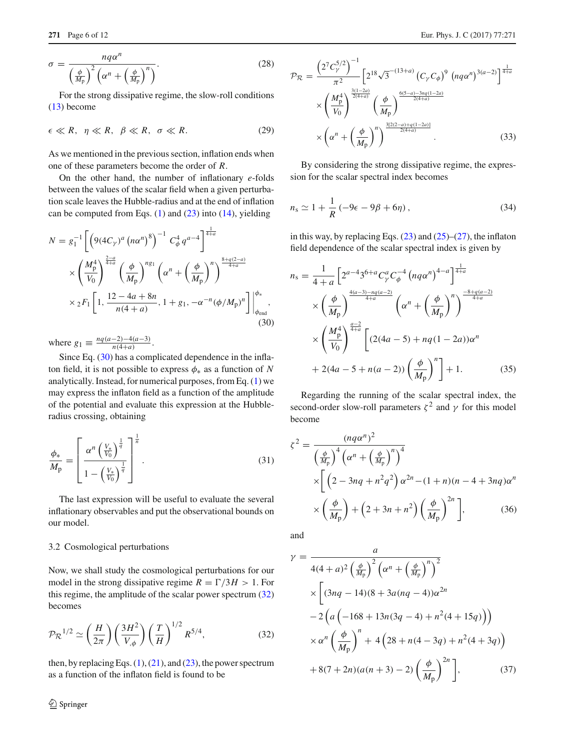$$
\sigma = \frac{nq\alpha^n}{\left(\frac{\phi}{M_p}\right)^2 \left(\alpha^n + \left(\frac{\phi}{M_p}\right)^n\right)}.
$$
\n(28)

For the strong dissipative regime, the slow-roll conditions [\(13\)](#page-3-3) become

$$
\epsilon \ll R, \ \eta \ll R, \ \beta \ll R, \ \sigma \ll R. \tag{29}
$$

As we mentioned in the previous section, inflation ends when one of these parameters become the order of *R*.

On the other hand, the number of inflationary *e*-folds between the values of the scalar field when a given perturbation scale leaves the Hubble-radius and at the end of inflation can be computed from Eqs.  $(1)$  and  $(23)$  into  $(14)$ , yielding

<span id="page-5-0"></span>
$$
N = g_1^{-1} \left[ \left( 9(4C_\gamma)^a \left( n\alpha^n \right)^8 \right)^{-1} C_\phi^4 q^{a-4} \right]_{\frac{4+a}{4+a}}^{\frac{1}{4+a}} \times \left( \frac{M_\text{p}^4}{V_0} \right)^{\frac{2-a}{4+a}} \left( \frac{\phi}{M_\text{p}} \right)^{n_{\text{S1}}} \left( \alpha^n + \left( \frac{\phi}{M_\text{p}} \right)^n \right)^{\frac{8+q(2-a)}{4+a}} \times {}_2F_1 \left[ 1, \frac{12-4a+8n}{n(4+a)}, 1+g_1, -\alpha^{-n} (\phi/M_\text{p})^n \right] \Big|_{\phi_{\text{end}}^{\phi_*},
$$
\n(30)

where  $g_1 \equiv \frac{nq(a-2)-4(a-3)}{n(4+a)}$ .

Since Eq. [\(30\)](#page-5-0) has a complicated dependence in the inflaton field, it is not possible to express  $\phi_*$  as a function of *N* analytically. Instead, for numerical purposes, from Eq. [\(1\)](#page-1-1) we may express the inflaton field as a function of the amplitude of the potential and evaluate this expression at the Hubbleradius crossing, obtaining

<span id="page-5-3"></span>
$$
\frac{\phi_*}{M_{\rm p}} = \left[ \frac{\alpha^n \left( \frac{V_*}{V_0} \right)^{\frac{1}{q}}}{1 - \left( \frac{V_*}{V_0} \right)^{\frac{1}{q}}} \right]^{\frac{1}{n}}.
$$
\n(31)

The last expression will be useful to evaluate the several inflationary observables and put the observational bounds on our model.

#### 3.2 Cosmological perturbations

Now, we shall study the cosmological perturbations for our model in the strong dissipative regime  $R = \Gamma/3H > 1$ . For this regime, the amplitude of the scalar power spectrum [\(32\)](#page-5-1) becomes

<span id="page-5-1"></span>
$$
\mathcal{P}_{\mathcal{R}}^{1/2} \simeq \left(\frac{H}{2\pi}\right) \left(\frac{3H^2}{V_{,\phi}}\right) \left(\frac{T}{H}\right)^{1/2} R^{5/4},\tag{32}
$$

then, by replacing Eqs.  $(1)$ ,  $(21)$ , and  $(23)$ , the power spectrum as a function of the inflaton field is found to be

$$
\mathcal{P}_{\mathcal{R}} = \frac{\left(2^7 C_{\gamma}^{5/2}\right)^{-1}}{\pi^2} \left[2^{18} \sqrt{3}^{-(13+a)} \left(C_{\gamma} C_{\phi}\right)^9 \left(nq\alpha^n\right)^{3(a-2)}\right]^{\frac{1}{4+a}}}{\times \left(\frac{M_{\rm p}^4}{V_0}\right)^{\frac{3(1-2a)}{2(a+a)}} \left(\frac{\phi}{M_{\rm p}}\right)^{\frac{6(5-a)-3nq(1-2a)}{2(4+a)}}}
$$

$$
\times \left(\alpha^n + \left(\frac{\phi}{M_{\rm p}}\right)^n\right)^{\frac{3[2(2-a)+q(1-2a)]}{2(4+a)}}.
$$
(33)

By considering the strong dissipative regime, the expression for the scalar spectral index becomes

$$
n_{\rm s} \simeq 1 + \frac{1}{R} \left( -9\epsilon - 9\beta + 6\eta \right),\tag{34}
$$

in this way, by replacing Eqs.  $(23)$  and  $(25)$ – $(27)$ , the inflaton field dependence of the scalar spectral index is given by

<span id="page-5-2"></span>
$$
n_{s} = \frac{1}{4+a} \left[ 2^{a-4} 3^{6+a} C_{\gamma}^{a} C_{\phi}^{-4} \left( n q \alpha^{n} \right)^{4-a} \right]^{\frac{1}{4+a}}
$$
  
\n
$$
\times \left( \frac{\phi}{M_{p}} \right)^{\frac{4(a-3)-nq(a-2)}{4+a}} \left( \alpha^{n} + \left( \frac{\phi}{M_{p}} \right)^{n} \right)^{\frac{-8+q(a-2)}{4+a}}
$$
  
\n
$$
\times \left( \frac{M_{p}^{4}}{V_{0}} \right)^{\frac{a-2}{4+a}} \left[ (2(4a-5) + nq(1-2a)) \alpha^{n} + 2(4a-5+n(a-2)) \left( \frac{\phi}{M_{p}} \right)^{n} \right] + 1. \tag{35}
$$

Regarding the running of the scalar spectral index, the second-order slow-roll parameters  $\zeta^2$  and  $\gamma$  for this model become

$$
\zeta^2 = \frac{(nq\alpha^n)^2}{\left(\frac{\phi}{M_{\rm p}}\right)^4 \left(\alpha^n + \left(\frac{\phi}{M_{\rm p}}\right)^n\right)^4}
$$
  
 
$$
\times \left[ \left(2 - 3nq + n^2q^2\right)\alpha^{2n} - (1+n)(n-4+3nq)\alpha^n \right]
$$
  
 
$$
\times \left(\frac{\phi}{M_{\rm p}}\right) + \left(2 + 3n + n^2\right)\left(\frac{\phi}{M_{\rm p}}\right)^{2n} \Big],
$$
 (36)

and

$$
\gamma = \frac{a}{4(4+a)^2 \left(\frac{\phi}{M_p}\right)^2 \left(\alpha^n + \left(\frac{\phi}{M_p}\right)^n\right)^2}
$$
  
 
$$
\times \left[ (3nq - 14)(8 + 3a(nq - 4))\alpha^{2n} - 2\left(a\left(-168 + 13n(3q - 4) + n^2(4 + 15q)\right)\right) \right.
$$
  
 
$$
\times \alpha^n \left(\frac{\phi}{M_p}\right)^n + 4\left(28 + n(4 - 3q) + n^2(4 + 3q)\right)
$$
  
 
$$
+ 8(7 + 2n)(a(n + 3) - 2)\left(\frac{\phi}{M_p}\right)^{2n} \Big],
$$
 (37)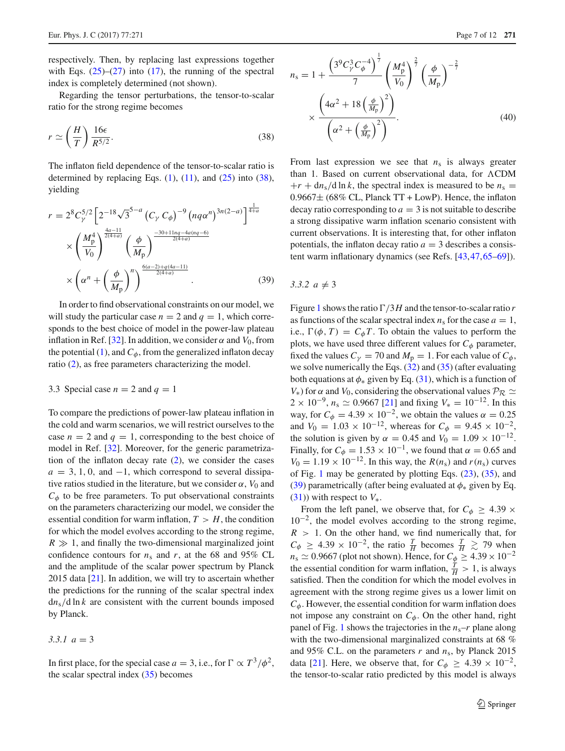respectively. Then, by replacing last expressions together with Eqs.  $(25)-(27)$  $(25)-(27)$  $(25)-(27)$  into  $(17)$ , the running of the spectral index is completely determined (not shown).

Regarding the tensor perturbations, the tensor-to-scalar ratio for the strong regime becomes

$$
r \simeq \left(\frac{H}{T}\right) \frac{16\epsilon}{R^{5/2}}.\tag{38}
$$

The inflaton field dependence of the tensor-to-scalar ratio is determined by replacing Eqs.  $(1)$ ,  $(11)$ , and  $(25)$  into  $(38)$ , yielding

<span id="page-6-1"></span>
$$
r = 2^{8} C_{\gamma}^{5/2} \left[ 2^{-18} \sqrt{3}^{5-a} \left( C_{\gamma} C_{\phi} \right)^{-9} \left( n q \alpha^{n} \right)^{3n(2-a)} \right]^{\frac{1}{4+a}}
$$
  
\$\times \left( \frac{M\_{\rm p}^{4}}{V\_{0}} \right)^{\frac{4a-11}{2(4+a)}} \left( \frac{\phi}{M\_{\rm p}} \right)^{\frac{-30+11nq-4a(nq-6)}{2(4+a)}}\n  
\$\times \left( \alpha^{n} + \left( \frac{\phi}{M\_{\rm p}} \right)^{n} \right)^{\frac{6(a-2)+q(4a-11)}{2(4+a)}} \n  
\$\tag{39}\$

In order to find observational constraints on our model, we will study the particular case  $n = 2$  and  $q = 1$ , which corresponds to the best choice of model in the power-law plateau inflation in Ref. [\[32\]](#page-10-15). In addition, we consider  $\alpha$  and  $V_0$ , from the potential  $(1)$ , and  $C_{\phi}$ , from the generalized inflaton decay ratio [\(2\)](#page-1-0), as free parameters characterizing the model.

#### 3.3 Special case  $n = 2$  and  $q = 1$

To compare the predictions of power-law plateau inflation in the cold and warm scenarios, we will restrict ourselves to the case  $n = 2$  and  $q = 1$ , corresponding to the best choice of model in Ref. [\[32](#page-10-15)]. Moreover, for the generic parametrization of the inflaton decay rate  $(2)$ , we consider the cases  $a = 3, 1, 0$ , and  $-1$ , which correspond to several dissipative ratios studied in the literature, but we consider  $\alpha$ ,  $V_0$  and  $C_{\phi}$  to be free parameters. To put observational constraints on the parameters characterizing our model, we consider the essential condition for warm inflation,  $T > H$ , the condition for which the model evolves according to the strong regime,  $R \gg 1$ , and finally the two-dimensional marginalized joint confidence contours for  $n_s$  and  $r$ , at the 68 and 95% CL and the amplitude of the scalar power spectrum by Planck 2015 data [\[21\]](#page-10-5). In addition, we will try to ascertain whether the predictions for the running of the scalar spectral index  $dn_s/d \ln k$  are consistent with the current bounds imposed by Planck.

*3.3.1 a* = 3

In first place, for the special case  $a = 3$ , i.e., for  $\Gamma \propto T^3/\phi^2$ , the scalar spectral index  $(35)$  becomes

<span id="page-6-0"></span>
$$
n_{\rm s} = 1 + \frac{\left(3^9 C_p^3 C_\phi^{-4}\right)^{\frac{1}{7}}}{7} \left(\frac{M_p^4}{V_0}\right)^{\frac{2}{7}} \left(\frac{\phi}{M_p}\right)^{-\frac{2}{7}}
$$

$$
\times \frac{\left(4\alpha^2 + 18\left(\frac{\phi}{M_p}\right)^2\right)}{\left(\alpha^2 + \left(\frac{\phi}{M_p}\right)^2\right)}.
$$
(40)

From last expression we see that  $n<sub>s</sub>$  is always greater than 1. Based on current observational data, for  $\Lambda$ CDM  $+r + d n_s/d \ln k$ , the spectral index is measured to be  $n_s =$  $0.9667\pm$  (68% CL, Planck TT + LowP). Hence, the inflaton decay ratio corresponding to  $a = 3$  is not suitable to describe a strong dissipative warm inflation scenario consistent with current observations. It is interesting that, for other inflaton potentials, the inflaton decay ratio  $a = 3$  describes a consistent warm inflationary dynamics (see Refs. [\[43](#page-11-14)[,47](#page-11-8)[,65](#page-11-15)[–69](#page-11-16)]).

# 3.3.2  $a \neq 3$

Figure [1](#page-7-0) shows the ratio  $\Gamma/3H$  and the tensor-to-scalar ratio *r* as functions of the scalar spectral index  $n_s$  for the case  $a = 1$ , i.e.,  $\Gamma(\phi, T) = C_{\phi}T$ . To obtain the values to perform the plots, we have used three different values for  $C_{\phi}$  parameter, fixed the values  $C_{\gamma} = 70$  and  $M_{\text{p}} = 1$ . For each value of  $C_{\phi}$ , we solve numerically the Eqs. [\(32\)](#page-5-1) and [\(35\)](#page-5-2) (after evaluating both equations at  $\phi_*$  given by Eq. [\(31\)](#page-5-3), which is a function of *V*<sup>\*</sup>) for  $\alpha$  and *V*<sub>0</sub>, considering the observational values  $\mathcal{P}_R \simeq$  $2 \times 10^{-9}$ ,  $n_s \simeq 0.9667$  [\[21\]](#page-10-5) and fixing  $V_* = 10^{-12}$ . In this way, for  $C_{\phi} = 4.39 \times 10^{-2}$ , we obtain the values  $\alpha = 0.25$ and  $V_0 = 1.03 \times 10^{-12}$ , whereas for  $C_\phi = 9.45 \times 10^{-2}$ , the solution is given by  $\alpha = 0.45$  and  $V_0 = 1.09 \times 10^{-12}$ . Finally, for  $C_{\phi} = 1.53 \times 10^{-1}$ , we found that  $\alpha = 0.65$  and  $V_0 = 1.19 \times 10^{-12}$ . In this way, the  $R(n_s)$  and  $r(n_s)$  curves of Fig. [1](#page-7-0) may be generated by plotting Eqs. [\(23\)](#page-4-2), [\(35\)](#page-5-2), and [\(39\)](#page-6-1) parametrically (after being evaluated at  $\phi_*$  given by Eq.  $(31)$ ) with respect to  $V_*$ .

From the left panel, we observe that, for  $C_{\phi} \geq 4.39 \times$  $10^{-2}$ , the model evolves according to the strong regime,  $R > 1$ . On the other hand, we find numerically that, for  $C_{\phi} \geq 4.39 \times 10^{-2}$ , the ratio  $\frac{T}{H}$  becomes  $\frac{T}{H} \gtrsim 79$  when  $n_s \simeq 0.9667$  (plot not shown). Hence, for  $C_{\phi} \geq 4.39 \times 10^{-2}$ the essential condition for warm inflation,  $\frac{T}{H} > 1$ , is always satisfied. Then the condition for which the model evolves in agreement with the strong regime gives us a lower limit on  $C_{\phi}$ . However, the essential condition for warm inflation does not impose any constraint on  $C_{\phi}$ . On the other hand, right panel of Fig. [1](#page-7-0) shows the trajectories in the  $n_s-r$  plane along with the two-dimensional marginalized constraints at 68 % and 95% C.L. on the parameters *r* and *n*s, by Planck 2015 data [\[21\]](#page-10-5). Here, we observe that, for  $C_{\phi} \geq 4.39 \times 10^{-2}$ , the tensor-to-scalar ratio predicted by this model is always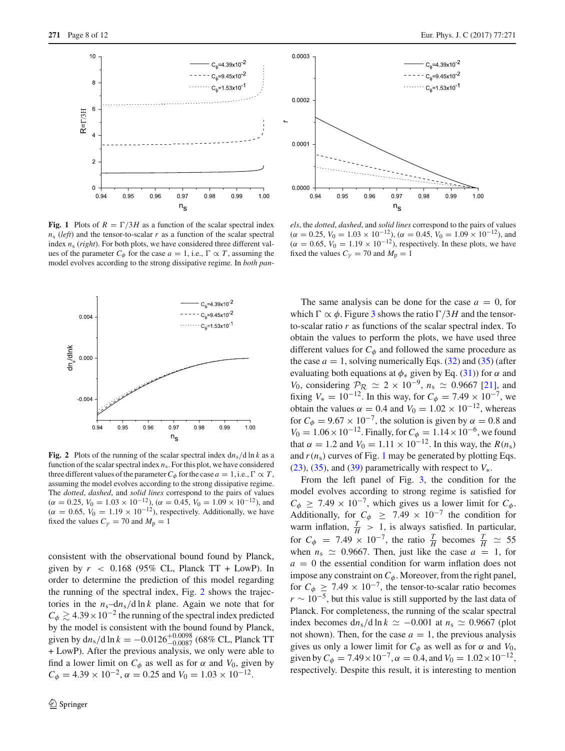

<span id="page-7-0"></span>**Fig. 1** Plots of  $R = \Gamma/3H$  as a function of the scalar spectral index  $n<sub>s</sub>$  (*left*) and the tensor-to-scalar *r* as a function of the scalar spectral index *n*<sup>s</sup> (*right*). For both plots, we have considered three different values of the parameter  $C_{\phi}$  for the case  $a = 1$ , i.e.,  $\Gamma \propto T$ , assuming the model evolves according to the strong dissipative regime. In *both pan-*



<span id="page-7-1"></span>**Fig. 2** Plots of the running of the scalar spectral index  $dn_s/d \ln k$  as a function of the scalar spectral index *n*s. For this plot, we have considered three different values of the parameter  $C_{\phi}$  for the case  $a = 1$ , i.e.,  $\Gamma \propto T$ , assuming the model evolves according to the strong dissipative regime. The *dotted*, *dashed*, and *solid lines* correspond to the pairs of values  $(\alpha = 0.25, V_0 = 1.03 \times 10^{-12})$ ,  $(\alpha = 0.45, V_0 = 1.09 \times 10^{-12})$ , and  $(\alpha = 0.65, V_0 = 1.19 \times 10^{-12})$ , respectively. Additionally, we have fixed the values  $C_{\gamma} = 70$  and  $M_{\text{p}} = 1$ 

consistent with the observational bound found by Planck, given by  $r \leq 0.168$  (95% CL, Planck TT + LowP). In order to determine the prediction of this model regarding the running of the spectral index, Fig. [2](#page-7-1) shows the trajectories in the  $n_s$ -d $n_s$ /d ln *k* plane. Again we note that for  $C_{\phi} \gtrsim 4.39 \times 10^{-2}$  the running of the spectral index predicted by the model is consistent with the bound found by Planck, given by  $dn_s/d \ln k = -0.0126_{-0.0087}^{+0.0098}$  (68% CL, Planck TT + LowP). After the previous analysis, we only were able to find a lower limit on  $C_{\phi}$  as well as for  $\alpha$  and  $V_0$ , given by  $C_{\phi} = 4.39 \times 10^{-2}$ ,  $\alpha = 0.25$  and  $V_0 = 1.03 \times 10^{-12}$ .



*els*, the *dotted*, *dashed*, and *solid lines* correspond to the pairs of values  $(\alpha = 0.25, V_0 = 1.03 \times 10^{-12})$ ,  $(\alpha = 0.45, V_0 = 1.09 \times 10^{-12})$ , and  $(\alpha = 0.65, V_0 = 1.19 \times 10^{-12})$ , respectively. In these plots, we have fixed the values  $C_{\gamma} = 70$  and  $M_{\text{p}} = 1$ 

The same analysis can be done for the case  $a = 0$ , for which  $\Gamma \propto \phi$ . Figure [3](#page-8-0) shows the ratio  $\Gamma/3H$  and the tensorto-scalar ratio *r* as functions of the scalar spectral index. To obtain the values to perform the plots, we have used three different values for  $C_{\phi}$  and followed the same procedure as the case  $a = 1$ , solving numerically Eqs. [\(32\)](#page-5-1) and [\(35\)](#page-5-2) (after evaluating both equations at  $\phi_*$  given by Eq. [\(31\)](#page-5-3)) for  $\alpha$  and *V*<sub>0</sub>, considering  $\mathcal{P}_R \simeq 2 \times 10^{-9}$ ,  $n_s \simeq 0.9667$  [\[21](#page-10-5)], and fixing  $V_* = 10^{-12}$ . In this way, for  $C_{\phi} = 7.49 \times 10^{-7}$ , we obtain the values  $\alpha = 0.4$  and  $V_0 = 1.02 \times 10^{-12}$ , whereas for  $C_{\phi} = 9.67 \times 10^{-7}$ , the solution is given by  $\alpha = 0.8$  and  $V_0 = 1.06 \times 10^{-12}$ . Finally, for  $C_\phi = 1.14 \times 10^{-6}$ , we found that  $\alpha = 1.2$  and  $V_0 = 1.11 \times 10^{-12}$ . In this way, the  $R(n_s)$ and  $r(n_s)$  curves of Fig. [1](#page-7-0) may be generated by plotting Eqs. [\(23\)](#page-4-2), [\(35\)](#page-5-2), and [\(39\)](#page-6-1) parametrically with respect to  $V_*$ .

From the left panel of Fig. [3,](#page-8-0) the condition for the model evolves according to strong regime is satisfied for  $C_{\phi} \geq 7.49 \times 10^{-7}$ , which gives us a lower limit for  $C_{\phi}$ . Additionally, for  $C_{\phi} \geq 7.49 \times 10^{-7}$  the condition for warm inflation,  $\frac{T}{H} > 1$ , is always satisfied. In particular, for  $C_{\phi}$  = 7.49 × 10<sup>-7</sup>, the ratio  $\frac{T}{H}$  becomes  $\frac{T}{H} \approx 55$ when  $n_s \simeq 0.9667$ . Then, just like the case  $a = 1$ , for  $a = 0$  the essential condition for warm inflation does not impose any constraint on  $C_{\phi}$ . Moreover, from the right panel, for  $C_{\phi} \geq 7.49 \times 10^{-7}$ , the tensor-to-scalar ratio becomes *r* ∼ 10<sup>-5</sup>, but this value is still supported by the last data of Planck. For completeness, the running of the scalar spectral index becomes  $dn_s/d \ln k \simeq -0.001$  at  $n_s \simeq 0.9667$  (plot not shown). Then, for the case  $a = 1$ , the previous analysis gives us only a lower limit for  $C_{\phi}$  as well as for  $\alpha$  and  $V_0$ , given by  $C_{\phi} = 7.49 \times 10^{-7}$ ,  $\alpha = 0.4$ , and  $V_0 = 1.02 \times 10^{-12}$ , respectively. Despite this result, it is interesting to mention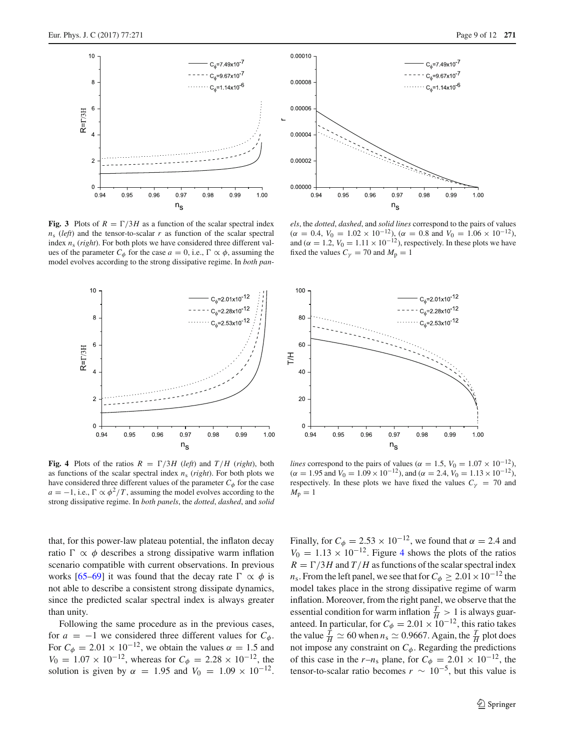

<span id="page-8-0"></span>**Fig. 3** Plots of  $R = \Gamma/3H$  as a function of the scalar spectral index  $n<sub>s</sub>$  (*left*) and the tensor-to-scalar *r* as function of the scalar spectral index *n*<sup>s</sup> (*right*). For both plots we have considered three different values of the parameter  $C_{\phi}$  for the case  $a = 0$ , i.e.,  $\Gamma \propto \phi$ , assuming the model evolves according to the strong dissipative regime. In *both pan-*



<span id="page-8-1"></span>**Fig. 4** Plots of the ratios  $R = \Gamma/3H$  (*left*) and  $T/H$  (*right*), both as functions of the scalar spectral index *n*<sup>s</sup> (*right*). For both plots we have considered three different values of the parameter  $C_{\phi}$  for the case  $a = -1$ , i.e.,  $\Gamma \propto \phi^2 / T$ , assuming the model evolves according to the strong dissipative regime. In *both panels*, the *dotted*, *dashed*, and *solid*



*els*, the *dotted*, *dashed*, and *solid lines* correspond to the pairs of values  $(\alpha = 0.4, V_0 = 1.02 \times 10^{-12})$ ,  $(\alpha = 0.8 \text{ and } V_0 = 1.06 \times 10^{-12})$ , and  $(\alpha = 1.2, V_0 = 1.11 \times 10^{-12})$ , respectively. In these plots we have fixed the values  $C_V = 70$  and  $M_p = 1$ 



*lines* correspond to the pairs of values ( $\alpha = 1.5$ ,  $V_0 = 1.07 \times 10^{-12}$ ),  $(\alpha = 1.95 \text{ and } V_0 = 1.09 \times 10^{-12})$ , and  $(\alpha = 2.4, V_0 = 1.13 \times 10^{-12})$ , respectively. In these plots we have fixed the values  $C<sub>\gamma</sub> = 70$  and  $M_{\rm p}=1$ 

that, for this power-law plateau potential, the inflaton decay ratio  $\Gamma \propto \phi$  describes a strong dissipative warm inflation scenario compatible with current observations. In previous works [\[65](#page-11-15)[–69](#page-11-16)] it was found that the decay rate  $\Gamma \propto \phi$  is not able to describe a consistent strong dissipate dynamics, since the predicted scalar spectral index is always greater than unity.

Following the same procedure as in the previous cases, for  $a = -1$  we considered three different values for  $C_{\phi}$ . For  $C_{\phi} = 2.01 \times 10^{-12}$ , we obtain the values  $\alpha = 1.5$  and  $V_0 = 1.07 \times 10^{-12}$ , whereas for  $C_\phi = 2.28 \times 10^{-12}$ , the solution is given by  $\alpha = 1.95$  and  $V_0 = 1.09 \times 10^{-12}$ .

Finally, for  $C_{\phi} = 2.53 \times 10^{-12}$ , we found that  $\alpha = 2.4$  and  $V_0 = 1.13 \times 10^{-12}$ . Figure [4](#page-8-1) shows the plots of the ratios  $R = \Gamma/3H$  and  $T/H$  as functions of the scalar spectral index *n*<sub>s</sub>. From the left panel, we see that for  $C_\phi \geq 2.01 \times 10^{-12}$  the model takes place in the strong dissipative regime of warm inflation. Moreover, from the right panel, we observe that the essential condition for warm inflation  $\frac{T}{H} > 1$  is always guaranteed. In particular, for  $C_{\phi} = 2.01 \times 10^{-12}$ , this ratio takes the value  $\frac{T}{H} \simeq 60$  when  $n_s \simeq 0.9667$ . Again, the  $\frac{T}{H}$  plot does not impose any constraint on  $C_{\phi}$ . Regarding the predictions of this case in the  $r-n_s$  plane, for  $C_\phi = 2.01 \times 10^{-12}$ , the tensor-to-scalar ratio becomes  $r \sim 10^{-5}$ , but this value is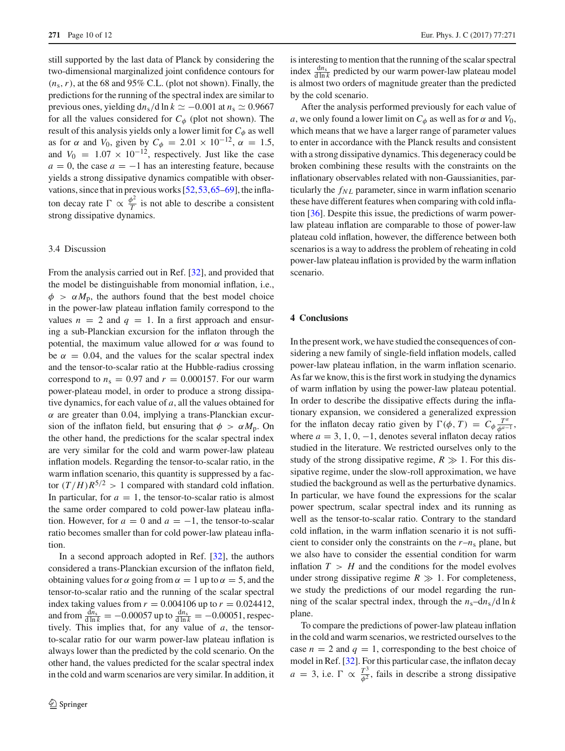still supported by the last data of Planck by considering the two-dimensional marginalized joint confidence contours for  $(n_s, r)$ , at the 68 and 95% C.L. (plot not shown). Finally, the predictions for the running of the spectral index are similar to previous ones, yielding  $dn_s/d \ln k \simeq -0.001$  at  $n_s \simeq 0.9667$ for all the values considered for  $C_{\phi}$  (plot not shown). The result of this analysis yields only a lower limit for  $C_{\phi}$  as well as for  $\alpha$  and *V*<sub>0</sub>, given by  $C_{\phi} = 2.01 \times 10^{-12}$ ,  $\alpha = 1.5$ , and  $V_0 = 1.07 \times 10^{-12}$ , respectively. Just like the case  $a = 0$ , the case  $a = -1$  has an interesting feature, because yields a strong dissipative dynamics compatible with observations, since that in previous works [\[52](#page-11-6)[,53](#page-11-7)[,65](#page-11-15)[–69](#page-11-16)], the inflaton decay rate  $\Gamma \propto \frac{\phi^2}{T}$  is not able to describe a consistent strong dissipative dynamics.

# 3.4 Discussion

From the analysis carried out in Ref. [\[32\]](#page-10-15), and provided that the model be distinguishable from monomial inflation, i.e.,  $\phi > \alpha M_{\rm p}$ , the authors found that the best model choice in the power-law plateau inflation family correspond to the values  $n = 2$  and  $q = 1$ . In a first approach and ensuring a sub-Planckian excursion for the inflaton through the potential, the maximum value allowed for  $\alpha$  was found to be  $\alpha = 0.04$ , and the values for the scalar spectral index and the tensor-to-scalar ratio at the Hubble-radius crossing correspond to  $n_s = 0.97$  and  $r = 0.000157$ . For our warm power-plateau model, in order to produce a strong dissipative dynamics, for each value of *a*, all the values obtained for  $\alpha$  are greater than 0.04, implying a trans-Planckian excursion of the inflaton field, but ensuring that  $\phi > \alpha M_p$ . On the other hand, the predictions for the scalar spectral index are very similar for the cold and warm power-law plateau inflation models. Regarding the tensor-to-scalar ratio, in the warm inflation scenario, this quantity is suppressed by a factor  $(T/H)R^{5/2} > 1$  compared with standard cold inflation. In particular, for  $a = 1$ , the tensor-to-scalar ratio is almost the same order compared to cold power-law plateau inflation. However, for  $a = 0$  and  $a = -1$ , the tensor-to-scalar ratio becomes smaller than for cold power-law plateau inflation.

In a second approach adopted in Ref. [\[32](#page-10-15)], the authors considered a trans-Planckian excursion of the inflaton field, obtaining values for  $\alpha$  going from  $\alpha = 1$  up to  $\alpha = 5$ , and the tensor-to-scalar ratio and the running of the scalar spectral index taking values from  $r = 0.004106$  up to  $r = 0.024412$ , and from  $\frac{dn_s}{d \ln k}$  = -0.00057 up to  $\frac{dn_s}{d \ln k}$  = -0.00051, respectively. This implies that, for any value of *a*, the tensorto-scalar ratio for our warm power-law plateau inflation is always lower than the predicted by the cold scenario. On the other hand, the values predicted for the scalar spectral index in the cold and warm scenarios are very similar. In addition, it is interesting to mention that the running of the scalar spectral index  $\frac{dn_s}{d \ln k}$  predicted by our warm power-law plateau model is almost two orders of magnitude greater than the predicted by the cold scenario.

After the analysis performed previously for each value of *a*, we only found a lower limit on  $C_{\phi}$  as well as for  $\alpha$  and  $V_0$ , which means that we have a larger range of parameter values to enter in accordance with the Planck results and consistent with a strong dissipative dynamics. This degeneracy could be broken combining these results with the constraints on the inflationary observables related with non-Gaussianities, particularly the  $f_{NL}$  parameter, since in warm inflation scenario these have different features when comparing with cold inflation [\[36](#page-10-18)]. Despite this issue, the predictions of warm powerlaw plateau inflation are comparable to those of power-law plateau cold inflation, however, the difference between both scenarios is a way to address the problem of reheating in cold power-law plateau inflation is provided by the warm inflation scenario.

# <span id="page-9-0"></span>**4 Conclusions**

In the present work, we have studied the consequences of considering a new family of single-field inflation models, called power-law plateau inflation, in the warm inflation scenario. As far we know, this is the first work in studying the dynamics of warm inflation by using the power-law plateau potential. In order to describe the dissipative effects during the inflationary expansion, we considered a generalized expression for the inflaton decay ratio given by  $\Gamma(\phi, T) = C_{\phi} \frac{T^a}{\phi^{a-1}}$ , where  $a = 3, 1, 0, -1$ , denotes several inflaton decay ratios studied in the literature. We restricted ourselves only to the study of the strong dissipative regime,  $R \gg 1$ . For this dissipative regime, under the slow-roll approximation, we have studied the background as well as the perturbative dynamics. In particular, we have found the expressions for the scalar power spectrum, scalar spectral index and its running as well as the tensor-to-scalar ratio. Contrary to the standard cold inflation, in the warm inflation scenario it is not sufficient to consider only the constraints on the  $r - n_s$  plane, but we also have to consider the essential condition for warm inflation  $T > H$  and the conditions for the model evolves under strong dissipative regime  $R \gg 1$ . For completeness, we study the predictions of our model regarding the running of the scalar spectral index, through the  $n_s$ –d $n_s$ /d ln *k* plane.

To compare the predictions of power-law plateau inflation in the cold and warm scenarios, we restricted ourselves to the case  $n = 2$  and  $q = 1$ , corresponding to the best choice of model in Ref. [\[32](#page-10-15)]. For this particular case, the inflaton decay  $a = 3$ , i.e.  $\Gamma \propto \frac{T^3}{\phi^2}$ , fails in describe a strong dissipative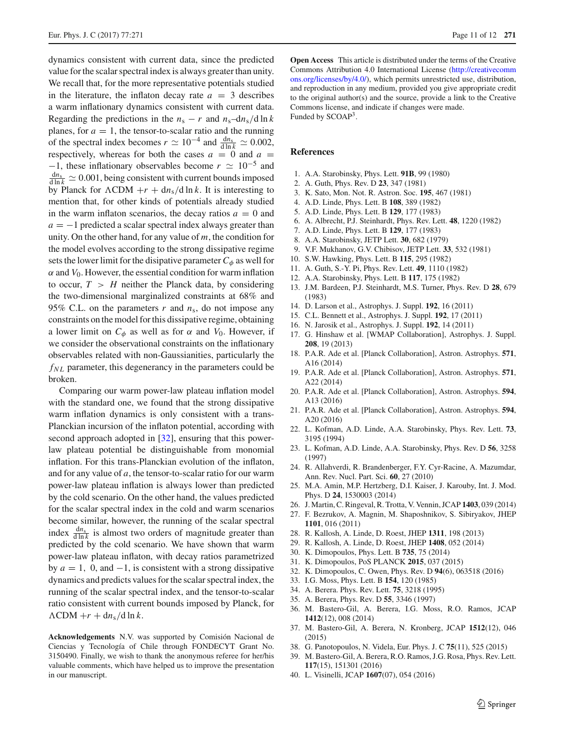dynamics consistent with current data, since the predicted value for the scalar spectral index is always greater than unity. We recall that, for the more representative potentials studied in the literature, the inflaton decay rate  $a = 3$  describes a warm inflationary dynamics consistent with current data. Regarding the predictions in the  $n_s - r$  and  $n_s$ –d $n_s$ /d ln *k* planes, for  $a = 1$ , the tensor-to-scalar ratio and the running of the spectral index becomes  $r \simeq 10^{-4}$  and  $\frac{dn_s}{d \ln k} \simeq 0.002$ , respectively, whereas for both the cases  $a = 0$  and  $a =$  $-1$ , these inflationary observables become  $r \simeq 10^{-5}$  and  $\frac{dn_s}{d \ln k} \simeq 0.001$ , being consistent with current bounds imposed by Planck for  $\Lambda$ CDM +*r* + d*n*<sub>s</sub>/d ln *k*. It is interesting to mention that, for other kinds of potentials already studied in the warm inflaton scenarios, the decay ratios  $a = 0$  and  $a = -1$  predicted a scalar spectral index always greater than unity. On the other hand, for any value of *m*, the condition for the model evolves according to the strong dissipative regime sets the lower limit for the disipative parameter  $C_{\phi}$  as well for  $\alpha$  and  $V_0$ . However, the essential condition for warm inflation to occur,  $T > H$  neither the Planck data, by considering the two-dimensional marginalized constraints at 68% and 95% C.L. on the parameters *r* and *n*s, do not impose any constraints on the model for this dissipative regime, obtaining a lower limit on  $C_{\phi}$  as well as for  $\alpha$  and  $V_0$ . However, if we consider the observational constraints on the inflationary observables related with non-Gaussianities, particularly the  $f_{NL}$  parameter, this degenerancy in the parameters could be broken.

Comparing our warm power-law plateau inflation model with the standard one, we found that the strong dissipative warm inflation dynamics is only consistent with a trans-Planckian incursion of the inflaton potential, according with second approach adopted in [\[32\]](#page-10-15), ensuring that this powerlaw plateau potential be distinguishable from monomial inflation. For this trans-Planckian evolution of the inflaton, and for any value of *a*, the tensor-to-scalar ratio for our warm power-law plateau inflation is always lower than predicted by the cold scenario. On the other hand, the values predicted for the scalar spectral index in the cold and warm scenarios become similar, however, the running of the scalar spectral index  $\frac{dn_s}{d \ln k}$  is almost two orders of magnitude greater than predicted by the cold scenario. We have shown that warm power-law plateau inflaton, with decay ratios parametrized by  $a = 1$ , 0, and  $-1$ , is consistent with a strong dissipative dynamics and predicts values for the scalar spectral index, the running of the scalar spectral index, and the tensor-to-scalar ratio consistent with current bounds imposed by Planck, for  $\Lambda$ CDM + *r* + dn<sub>s</sub>/d ln *k*.

**Acknowledgements** N.V. was supported by Comisión Nacional de Ciencias y Tecnología of Chile through FONDECYT Grant No. 3150490. Finally, we wish to thank the anonymous referee for her/his valuable comments, which have helped us to improve the presentation in our manuscript.

**Open Access** This article is distributed under the terms of the Creative Commons Attribution 4.0 International License [\(http://creativecomm](http://creativecommons.org/licenses/by/4.0/) [ons.org/licenses/by/4.0/\)](http://creativecommons.org/licenses/by/4.0/), which permits unrestricted use, distribution, and reproduction in any medium, provided you give appropriate credit to the original author(s) and the source, provide a link to the Creative Commons license, and indicate if changes were made. Funded by SCOAP<sup>3</sup>.

#### **References**

- <span id="page-10-0"></span>1. A.A. Starobinsky, Phys. Lett. **91B**, 99 (1980)
- 2. A. Guth, Phys. Rev. D **23**, 347 (1981)
- 3. K. Sato, Mon. Not. R. Astron. Soc. **195**, 467 (1981)
- 4. A.D. Linde, Phys. Lett. B **108**, 389 (1982)
- 5. A.D. Linde, Phys. Lett. B **129**, 177 (1983)
- 6. A. Albrecht, P.J. Steinhardt, Phys. Rev. Lett. **48**, 1220 (1982)
- <span id="page-10-1"></span>7. A.D. Linde, Phys. Lett. B **129**, 177 (1983)
- <span id="page-10-2"></span>8. A.A. Starobinsky, JETP Lett. **30**, 682 (1979)
- 9. V.F. Mukhanov, G.V. Chibisov, JETP Lett. **33**, 532 (1981)
- 10. S.W. Hawking, Phys. Lett. B **115**, 295 (1982)
- 11. A. Guth, S.-Y. Pi, Phys. Rev. Lett. **49**, 1110 (1982)
- 12. A.A. Starobinsky, Phys. Lett. B **117**, 175 (1982)
- <span id="page-10-3"></span>13. J.M. Bardeen, P.J. Steinhardt, M.S. Turner, Phys. Rev. D **28**, 679 (1983)
- <span id="page-10-4"></span>14. D. Larson et al., Astrophys. J. Suppl. **192**, 16 (2011)
- 15. C.L. Bennett et al., Astrophys. J. Suppl. **192**, 17 (2011)
- 16. N. Jarosik et al., Astrophys. J. Suppl. **192**, 14 (2011)
- 17. G. Hinshaw et al. [WMAP Collaboration], Astrophys. J. Suppl. **208**, 19 (2013)
- 18. P.A.R. Ade et al. [Planck Collaboration], Astron. Astrophys. **571**, A16 (2014)
- <span id="page-10-8"></span>19. P.A.R. Ade et al. [Planck Collaboration], Astron. Astrophys. **571**, A22 (2014)
- 20. P.A.R. Ade et al. [Planck Collaboration], Astron. Astrophys. **594**, A13 (2016)
- <span id="page-10-5"></span>21. P.A.R. Ade et al. [Planck Collaboration], Astron. Astrophys. **594**, A20 (2016)
- <span id="page-10-6"></span>22. L. Kofman, A.D. Linde, A.A. Starobinsky, Phys. Rev. Lett. **73**, 3195 (1994)
- 23. L. Kofman, A.D. Linde, A.A. Starobinsky, Phys. Rev. D **56**, 3258 (1997)
- 24. R. Allahverdi, R. Brandenberger, F.Y. Cyr-Racine, A. Mazumdar, Ann. Rev. Nucl. Part. Sci. **60**, 27 (2010)
- <span id="page-10-7"></span>25. M.A. Amin, M.P. Hertzberg, D.I. Kaiser, J. Karouby, Int. J. Mod. Phys. D **24**, 1530003 (2014)
- <span id="page-10-9"></span>26. J. Martin, C. Ringeval, R. Trotta, V. Vennin, JCAP **1403**, 039 (2014)
- <span id="page-10-10"></span>27. F. Bezrukov, A. Magnin, M. Shaposhnikov, S. Sibiryakov, JHEP **1101**, 016 (2011)
- <span id="page-10-11"></span>28. R. Kallosh, A. Linde, D. Roest, JHEP **1311**, 198 (2013)
- <span id="page-10-12"></span>29. R. Kallosh, A. Linde, D. Roest, JHEP **1408**, 052 (2014)
- <span id="page-10-13"></span>30. K. Dimopoulos, Phys. Lett. B **735**, 75 (2014)
- <span id="page-10-14"></span>31. K. Dimopoulos, PoS PLANCK **2015**, 037 (2015)
- <span id="page-10-15"></span>32. K. Dimopoulos, C. Owen, Phys. Rev. D **94**(6), 063518 (2016)
- <span id="page-10-16"></span>33. I.G. Moss, Phys. Lett. B **154**, 120 (1985)
- <span id="page-10-20"></span>34. A. Berera. Phys. Rev. Lett. **75**, 3218 (1995)
- <span id="page-10-17"></span>35. A. Berera, Phys. Rev. D **55**, 3346 (1997)
- <span id="page-10-18"></span>36. M. Bastero-Gil, A. Berera, I.G. Moss, R.O. Ramos, JCAP **1412**(12), 008 (2014)
- 37. M. Bastero-Gil, A. Berera, N. Kronberg, JCAP **1512**(12), 046 (2015)
- <span id="page-10-21"></span>38. G. Panotopoulos, N. Videla, Eur. Phys. J. C **75**(11), 525 (2015)
- <span id="page-10-19"></span>39. M. Bastero-Gil, A. Berera, R.O. Ramos, J.G. Rosa, Phys. Rev. Lett. **117**(15), 151301 (2016)
- 40. L. Visinelli, JCAP **1607**(07), 054 (2016)